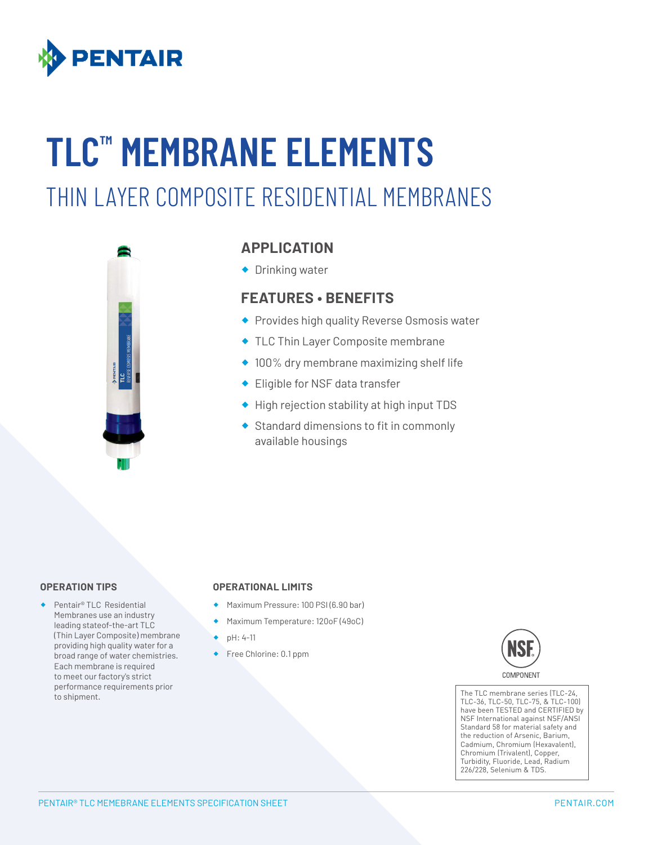

# **TLC™️ MEMBRANE ELEMENTS** THIN LAYER COMPOSITE RESIDENTIAL MEMBRANES



# **APPLICATION**

◆ Drinking water

## **FEATURES • BENEFITS**

- ® Provides high quality Reverse Osmosis water
- ® TLC Thin Layer Composite membrane
- $\triangleq$  100% dry membrane maximizing shelf life
- ® Eligible for NSF data transfer
- ® High rejection stability at high input TDS
- ® Standard dimensions to fit in commonly available housings

#### **OPERATION TIPS**

® Pentair® TLC Residential Membranes use an industry leading stateof-the-art TLC (Thin Layer Composite) membrane providing high quality water for a broad range of water chemistries. Each membrane is required to meet our factory's strict performance requirements prior to shipment.

#### **OPERATIONAL LIMITS**

- ® Maximum Pressure: 100 PSI (6.90 bar)
- ® Maximum Temperature: 120oF (49oC)
- ® pH: 4-11
- ◆ Free Chlorine: 0.1 ppm



The TLC membrane series (TLC-24, TLC-36, TLC-50, TLC-75, & TLC-100) have been TESTED and CERTIFIED by NSF International against NSF/ANSI Standard 58 for material safety and the reduction of Arsenic, Barium, Cadmium, Chromium (Hexavalent), Chromium (Trivalent), Copper, Turbidity, Fluoride, Lead, Radium 226/228, Selenium & TDS.